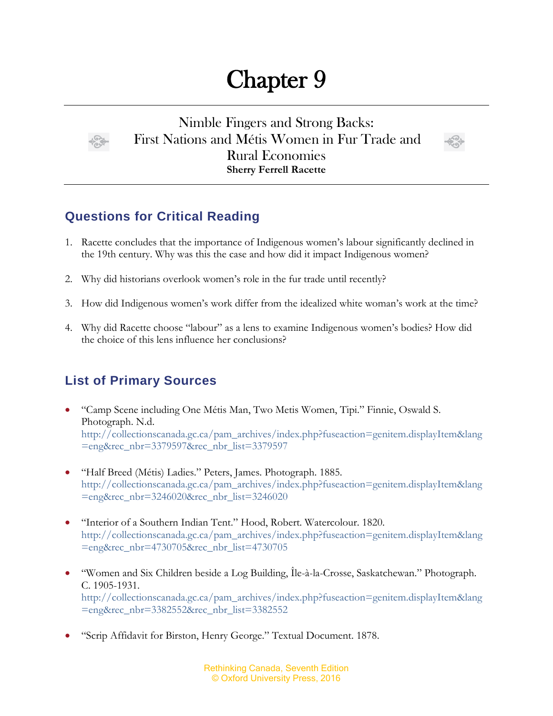## Chapter 9



Nimble Fingers and Strong Backs: First Nations and Métis Women in Fur Trade and Rural Economies **Sherry Ferrell Racette**



## **Questions for Critical Reading**

- 1. Racette concludes that the importance of Indigenous women's labour significantly declined in the 19th century. Why was this the case and how did it impact Indigenous women?
- 2. Why did historians overlook women's role in the fur trade until recently?
- 3. How did Indigenous women's work differ from the idealized white woman's work at the time?
- 4. Why did Racette choose "labour" as a lens to examine Indigenous women's bodies? How did the choice of this lens influence her conclusions?

## **List of Primary Sources**

- "Camp Scene including One Métis Man, Two Metis Women, Tipi." Finnie, Oswald S. Photograph. N.d. [http://collectionscanada.gc.ca/pam\\_archives/index.php?fuseaction=genitem.displayItem&lang](http://collectionscanada.gc.ca/pam_archives/index.php?fuseaction=genitem.displayItem&lang=eng&rec_nbr=3379597&rec_nbr_list=3379597) [=eng&rec\\_nbr=3379597&rec\\_nbr\\_list=3379597](http://collectionscanada.gc.ca/pam_archives/index.php?fuseaction=genitem.displayItem&lang=eng&rec_nbr=3379597&rec_nbr_list=3379597)
- "Half Breed (Métis) Ladies." Peters, James. Photograph. 1885. [http://collectionscanada.gc.ca/pam\\_archives/index.php?fuseaction=genitem.displayItem&lang](http://collectionscanada.gc.ca/pam_archives/index.php?fuseaction=genitem.displayItem&lang=eng&rec_nbr=3246020&rec_nbr_list=3246020) [=eng&rec\\_nbr=3246020&rec\\_nbr\\_list=3246020](http://collectionscanada.gc.ca/pam_archives/index.php?fuseaction=genitem.displayItem&lang=eng&rec_nbr=3246020&rec_nbr_list=3246020)
- "Interior of a Southern Indian Tent." Hood, Robert. Watercolour. 1820. [http://collectionscanada.gc.ca/pam\\_archives/index.php?fuseaction=genitem.displayItem&lang](http://collectionscanada.gc.ca/pam_archives/index.php?fuseaction=genitem.displayItem&lang=eng&rec_nbr=4730705&rec_nbr_list=4730705) [=eng&rec\\_nbr=4730705&rec\\_nbr\\_list=4730705](http://collectionscanada.gc.ca/pam_archives/index.php?fuseaction=genitem.displayItem&lang=eng&rec_nbr=4730705&rec_nbr_list=4730705)
- "Women and Six Children beside a Log Building, Île-à-la-Crosse, Saskatchewan." Photograph. C. 1905-1931. [http://collectionscanada.gc.ca/pam\\_archives/index.php?fuseaction=genitem.displayItem&lang](http://collectionscanada.gc.ca/pam_archives/index.php?fuseaction=genitem.displayItem&lang=eng&rec_nbr=3382552&rec_nbr_list=3382552) [=eng&rec\\_nbr=3382552&rec\\_nbr\\_list=3382552](http://collectionscanada.gc.ca/pam_archives/index.php?fuseaction=genitem.displayItem&lang=eng&rec_nbr=3382552&rec_nbr_list=3382552)
- "Scrip Affidavit for Birston, Henry George." Textual Document. 1878.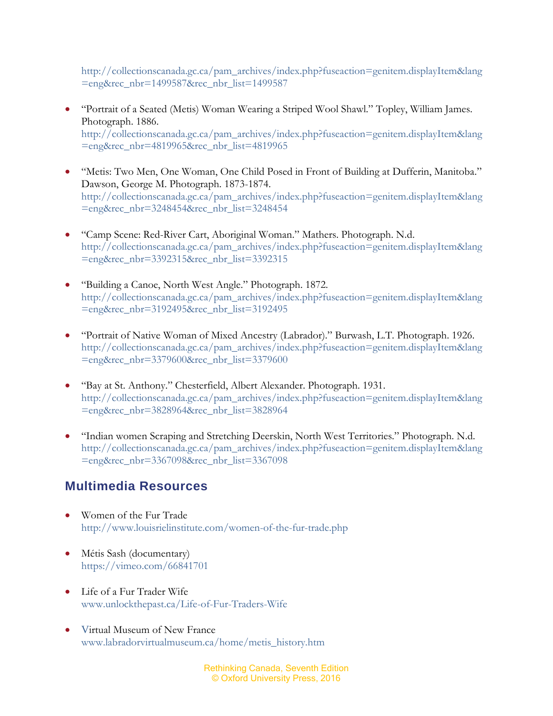[http://collectionscanada.gc.ca/pam\\_archives/index.php?fuseaction=genitem.displayItem&lang](http://collectionscanada.gc.ca/pam_archives/index.php?fuseaction=genitem.displayItem&lang=eng&rec_nbr=1499587&rec_nbr_list=1499587) [=eng&rec\\_nbr=1499587&rec\\_nbr\\_list=1499587](http://collectionscanada.gc.ca/pam_archives/index.php?fuseaction=genitem.displayItem&lang=eng&rec_nbr=1499587&rec_nbr_list=1499587)

- "Portrait of a Seated (Metis) Woman Wearing a Striped Wool Shawl." Topley, William James. Photograph. 1886. [http://collectionscanada.gc.ca/pam\\_archives/index.php?fuseaction=genitem.displayItem&lang](http://collectionscanada.gc.ca/pam_archives/index.php?fuseaction=genitem.displayItem&lang=eng&rec_nbr=4819965&rec_nbr_list=4819965) [=eng&rec\\_nbr=4819965&rec\\_nbr\\_list=4819965](http://collectionscanada.gc.ca/pam_archives/index.php?fuseaction=genitem.displayItem&lang=eng&rec_nbr=4819965&rec_nbr_list=4819965)
- "Metis: Two Men, One Woman, One Child Posed in Front of Building at Dufferin, Manitoba." Dawson, George M. Photograph. 1873-1874. [http://collectionscanada.gc.ca/pam\\_archives/index.php?fuseaction=genitem.displayItem&lang](http://collectionscanada.gc.ca/pam_archives/index.php?fuseaction=genitem.displayItem&lang=eng&rec_nbr=3248454&rec_nbr_list=3248454) [=eng&rec\\_nbr=3248454&rec\\_nbr\\_list=3248454](http://collectionscanada.gc.ca/pam_archives/index.php?fuseaction=genitem.displayItem&lang=eng&rec_nbr=3248454&rec_nbr_list=3248454)
- "Camp Scene: Red-River Cart, Aboriginal Woman." Mathers. Photograph. N.d. [http://collectionscanada.gc.ca/pam\\_archives/index.php?fuseaction=genitem.displayItem&lang](http://collectionscanada.gc.ca/pam_archives/index.php?fuseaction=genitem.displayItem&lang=eng&rec_nbr=3392315&rec_nbr_list=3392315) [=eng&rec\\_nbr=3392315&rec\\_nbr\\_list=3392315](http://collectionscanada.gc.ca/pam_archives/index.php?fuseaction=genitem.displayItem&lang=eng&rec_nbr=3392315&rec_nbr_list=3392315)
- "Building a Canoe, North West Angle." Photograph. 1872. [http://collectionscanada.gc.ca/pam\\_archives/index.php?fuseaction=genitem.displayItem&lang](http://collectionscanada.gc.ca/pam_archives/index.php?fuseaction=genitem.displayItem&lang=eng&rec_nbr=3192495&rec_nbr_list=3192495) [=eng&rec\\_nbr=3192495&rec\\_nbr\\_list=3192495](http://collectionscanada.gc.ca/pam_archives/index.php?fuseaction=genitem.displayItem&lang=eng&rec_nbr=3192495&rec_nbr_list=3192495)
- "Portrait of Native Woman of Mixed Ancestry (Labrador)." Burwash, L.T. Photograph. 1926. [http://collectionscanada.gc.ca/pam\\_archives/index.php?fuseaction=genitem.displayItem&lang](http://collectionscanada.gc.ca/pam_archives/index.php?fuseaction=genitem.displayItem&lang=eng&rec_nbr=3379600&rec_nbr_list=3379600) [=eng&rec\\_nbr=3379600&rec\\_nbr\\_list=3379600](http://collectionscanada.gc.ca/pam_archives/index.php?fuseaction=genitem.displayItem&lang=eng&rec_nbr=3379600&rec_nbr_list=3379600)
- "Bay at St. Anthony." Chesterfield, Albert Alexander. Photograph. 1931. [http://collectionscanada.gc.ca/pam\\_archives/index.php?fuseaction=genitem.displayItem&lang](http://collectionscanada.gc.ca/pam_archives/index.php?fuseaction=genitem.displayItem&lang=eng&rec_nbr=3828964&rec_nbr_list=3828964) [=eng&rec\\_nbr=3828964&rec\\_nbr\\_list=3828964](http://collectionscanada.gc.ca/pam_archives/index.php?fuseaction=genitem.displayItem&lang=eng&rec_nbr=3828964&rec_nbr_list=3828964)
- "Indian women Scraping and Stretching Deerskin, North West Territories." Photograph. N.d. [http://collectionscanada.gc.ca/pam\\_archives/index.php?fuseaction=genitem.displayItem&lang](http://collectionscanada.gc.ca/pam_archives/index.php?fuseaction=genitem.displayItem&lang=eng&rec_nbr=3367098&rec_nbr_list=3367098) [=eng&rec\\_nbr=3367098&rec\\_nbr\\_list=3367098](http://collectionscanada.gc.ca/pam_archives/index.php?fuseaction=genitem.displayItem&lang=eng&rec_nbr=3367098&rec_nbr_list=3367098)

## **Multimedia Resources**

- Women of the Fur Trade <http://www.louisrielinstitute.com/women-of-the-fur-trade.php>
- Métis Sash (documentary) <https://vimeo.com/66841701>
- Life of a Fur Trader Wife [www.unlockthepast.ca/Life-of-Fur-Traders-Wife](http://www.unlockthepast.ca/Life-of-Fur-Traders-Wife)
- Virtual Museum of New France [www.labradorvirtualmuseum.ca/home/metis\\_history.htm](http://www.labradorvirtualmuseum.ca/home/metis_history.htm)

Rethinking Canada, Seventh Edition © Oxford University Press, 2016